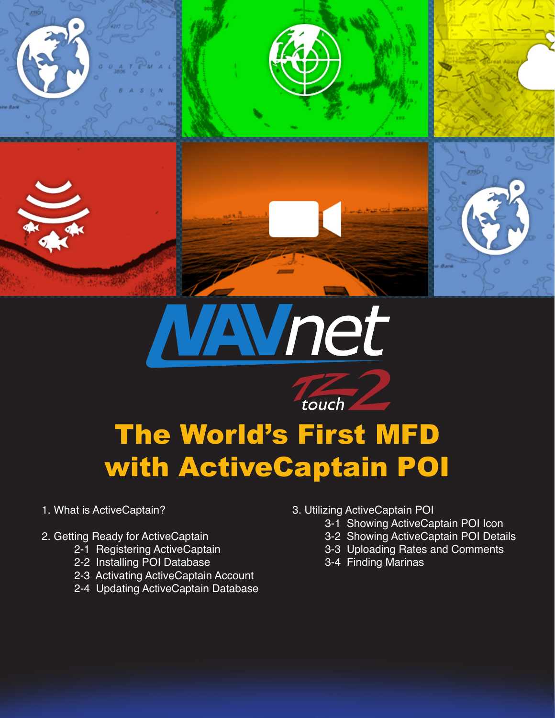



# The World's First MFD with ActiveCaptain POI

touch

- 1. What is ActiveCaptain?
- 2. Getting Ready for ActiveCaptain
	- 2-1 Registering ActiveCaptain
	- 2-2 Installing POI Database
	- 2-3 Activating ActiveCaptain Account
	- 2-4 Updating ActiveCaptain Database
- 3. Utilizing ActiveCaptain POI
	- 3-1 Showing ActiveCaptain POI Icon
	- 3-2 Showing ActiveCaptain POI Details
	- 3-3 Uploading Rates and Comments
	- 3-4 Finding Marinas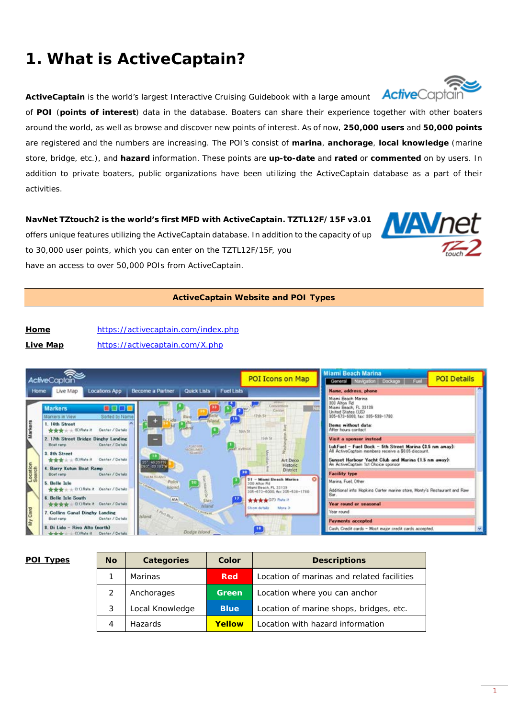# **1. What is ActiveCaptain?**

**ActiveCaptain** is the world's largest Interactive Cruising Guidebook with a large amount **Active**Captair

of **POI** (**points of interest**) data in the database. Boaters can share their experience together with other boaters around the world, as well as browse and discover new points of interest. As of now, **250,000 users** and **50,000 points** are registered and the numbers are increasing. The POI's consist of **marina**, **anchorage**, **local knowledge** (marine store, bridge, etc.), and **hazard** information. These points are **up-to-date** and **rated** or **commented** on by users. In addition to private boaters, public organizations have been utilizing the ActiveCaptain database as a part of their activities.

**NavNet TZtouch2 is the world's first MFD with ActiveCaptain. TZTL12F/15F v3.01** offers unique features utilizing the ActiveCaptain database. In addition to the capacity of up to 30,000 user points, which you can enter on the TZTL12F/15F, you have an access to over 50,000 POIs from ActiveCaptain.

### **ActiveCaptain Website and POI Types**

**Home** <https://activecaptain.com/index.php> **Live Map** <https://activecaptain.com/X.php>



| v<br>е<br>L |
|-------------|
|             |

| POI Types | <b>No</b> | Categories      | Color         | <b>Descriptions</b>                        |
|-----------|-----------|-----------------|---------------|--------------------------------------------|
|           |           | <b>Marinas</b>  | Red           | Location of marinas and related facilities |
|           |           | Anchorages      | Green         | Location where you can anchor              |
|           |           | Local Knowledge | <b>Blue</b>   | Location of marine shops, bridges, etc.    |
|           |           | <b>Hazards</b>  | <b>Yellow</b> | Location with hazard information           |



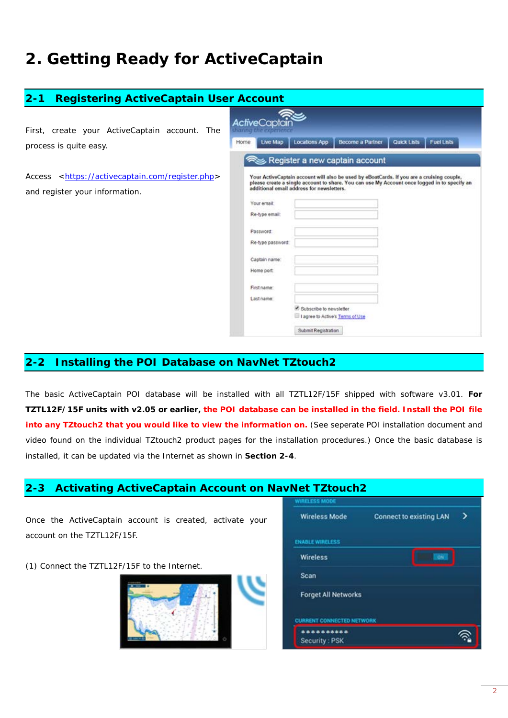# **2. Getting Ready for ActiveCaptain**

| $2 - 1$<br><b>Registering ActiveCaptain User Account</b>                                             |                                                                                                                                                                                                                                                                                                                                                                                                                                                            |  |  |  |
|------------------------------------------------------------------------------------------------------|------------------------------------------------------------------------------------------------------------------------------------------------------------------------------------------------------------------------------------------------------------------------------------------------------------------------------------------------------------------------------------------------------------------------------------------------------------|--|--|--|
| First, create your ActiveCaptain account. The<br>process is quite easy.                              | <b>ActiveCaptai</b><br>haring the experienc<br><b>Fuel Lists</b><br><b>Locations App</b><br><b>Become a Partner</b><br>Quick Lists<br>Live Map<br>Home<br>Register a new captain account                                                                                                                                                                                                                                                                   |  |  |  |
| <https: activecaptain.com="" register.php=""><br/>Access<br/>and register your information.</https:> | Your ActiveCaptain account will also be used by eBoatCards. If you are a cruising couple,<br>please create a single account to share. You can use My Account once logged in to specify an<br>additional email address for newsletters.<br>Your email:<br>Re-type email:<br>Password:<br>Re-type password:<br>Captain name:<br>Home port<br>First name:<br>Last name:<br>Subscribe to newsletter<br>I agree to Active's Terms of Use<br>Submit Registration |  |  |  |

# **2-2 Installing the POI Database on NavNet TZtouch2**

The basic ActiveCaptain POI database will be installed with all TZTL12F/15F shipped with software v3.01. **For TZTL12F/15F units with v2.05 or earlier, the POI database can be installed in the field. Install the POI file**  into any TZtouch2 that you would like to view the information on. (See seperate POI installation document and video found on the individual TZtouch2 product pages for the installation procedures.) Once the basic database is installed, it can be updated via the Internet as shown in **Section 2-4**.

# **2-3 Activating ActiveCaptain Account on NavNet TZtouch2**

| Once the ActiveCaptain account is created, activate your | <b>Wireless Mode</b><br><b>Connect to existing LAN</b><br>→ |
|----------------------------------------------------------|-------------------------------------------------------------|
| account on the TZTL12F/15F.                              | <b>ENABLE WIRELESS</b>                                      |
|                                                          | <b>Wireless</b><br>ON:                                      |
| (1) Connect the TZTL12F/15F to the Internet.             | Scan                                                        |
|                                                          | <b>Forget All Networks</b>                                  |
|                                                          | <b>CURRENT CONNECTED NETWORK</b>                            |
|                                                          | **********<br>Security: PSK                                 |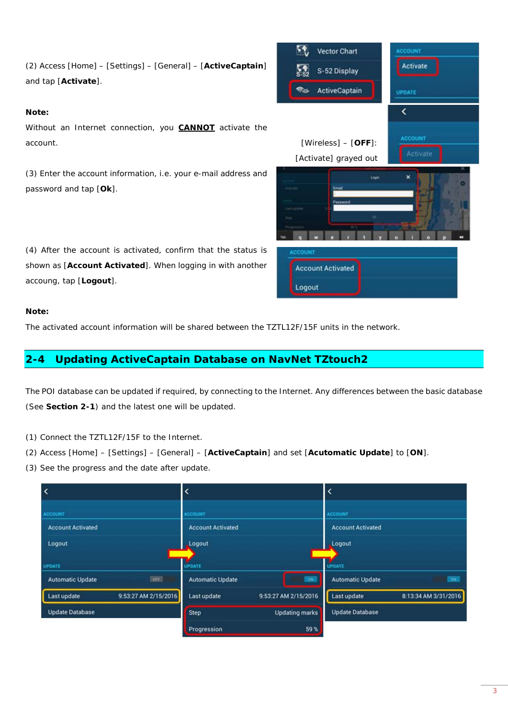#### **Note:**

Without an Internet connection, you **CANNOT** activate the account. [Wireless] – [**OFF**]:

(3) Enter the account information, i.e. your e-mail address and password and tap [**Ok**].

(4) After the account is activated, confirm that the status is shown as [**Account Activated**]. When logging in with another accoung, tap [**Logout**].

### **Note:**

The activated account information will be shared between the TZTL12F/15F units in the network.

# **2-4 Updating ActiveCaptain Database on NavNet TZtouch2**

The POI database can be updated if required, by connecting to the Internet. Any differences between the basic database (See **Section 2-1**) and the latest one will be updated.

- (1) Connect the TZTL12F/15F to the Internet.
- (2) Access [Home] [Settings] [General] [**ActiveCaptain**] and set [**Acutomatic Update**] to [**ON**].
- (3) See the progress and the date after update.

| $\overline{\phantom{a}}$            | $\overline{\phantom{a}}$             | K                                    |
|-------------------------------------|--------------------------------------|--------------------------------------|
| <b>ACCOUNT</b>                      | <b>ACCOUNT</b>                       | <b>ACCOUNT</b>                       |
| <b>Account Activated</b>            | <b>Account Activated</b>             | <b>Account Activated</b>             |
| Logout                              | Logout                               | Logout                               |
| <b>UPDATE</b>                       | UPDATE                               | UPDATE                               |
| OFF<br><b>Automatic Update</b>      | <b>Automatic Update</b><br><b>ON</b> | <b>Automatic Update</b><br><b>ON</b> |
| Last update<br>9:53:27 AM 2/15/2016 | 9:53:27 AM 2/15/2016<br>Last update  | 8:13:34 AM 3/31/2016<br>Last update  |
| <b>Update Database</b>              | <b>Step</b><br><b>Updating marks</b> | <b>Update Database</b>               |
|                                     | 59%<br>Progression                   |                                      |

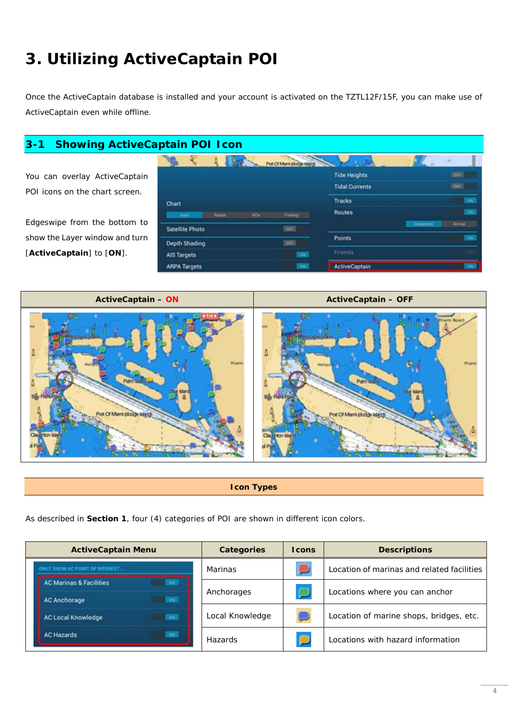# **3. Utilizing ActiveCaptain POI**

Once the ActiveCaptain database is installed and your account is activated on the TZTL12F/15F, you can make use of ActiveCaptain even while offline.

# **3-1 Showing ActiveCaptain POI Icon**

You can overlay ActiveCaptain POI icons on the chart screen.

Edgeswipe from the bottom to show the Layer window and turn [**ActiveCaptain**] to [**ON**].

|                                      | Pot Of Marri (5033) Nirch |                       |                  | 28             |
|--------------------------------------|---------------------------|-----------------------|------------------|----------------|
|                                      |                           | <b>Tide Heights</b>   |                  | <b>Torr 3</b>  |
|                                      |                           | <b>Tidal Currents</b> |                  | Done 1         |
| Chart                                |                           | <b>Tracks</b>         |                  | <b>ON</b>      |
| <b>HOS</b><br><b>Raster</b><br>Ains. | Fishing:                  | <b>Routes</b>         |                  | <b>CHE</b>     |
| <b>Satellite Photo</b>               | lon:                      |                       | <b>Departure</b> | <b>Arrival</b> |
| Depth Shading                        | lore:                     | <b>Points</b>         |                  | <b>OK</b>      |
| <b>AIS Targets</b>                   | Oh.                       | Friends               |                  |                |
| <b>ARPA Targets</b>                  | on:                       | <b>ActiveCaptain</b>  |                  | ON.            |

**ActiveCaptain – ON ActiveCaptain – OFF**



**Icon Types**

As described in **Section 1**, four (4) categories of POI are shown in different icon colors.

| <b>ActiveCaptain Menu</b>                       | <b>Categories</b> | <b>I</b> cons | <b>Descriptions</b>                        |
|-------------------------------------------------|-------------------|---------------|--------------------------------------------|
| ONLY SHOW AC POINT OF INTEREST.                 | Marinas           |               | Location of marinas and related facilities |
| <b>AC Marinas &amp; Facilities</b><br><b>ON</b> | Anchorages        |               | Locations where you can anchor             |
| <b>CON</b><br><b>AC Anchorage</b>               |                   |               |                                            |
| 0 <sup>1</sup><br><b>AC Local Knowledge</b>     | Local Knowledge   |               | Location of marine shops, bridges, etc.    |
| <b>AC Hazards</b><br>OM <sub>2</sub>            | Hazards           |               | Locations with hazard information          |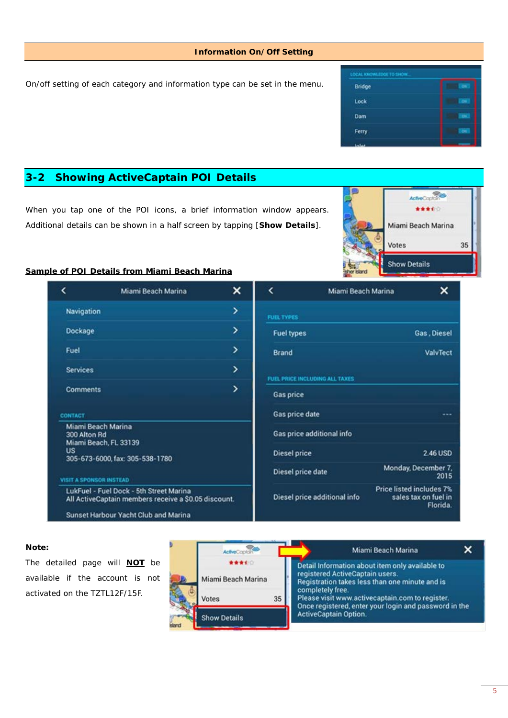#### **Information On/Off Setting**

On/off setting of each category and information type can be set in the menu.



# **3-2 Showing ActiveCaptain POI Details**

When you tap one of the POI icons, a brief information window appears. Additional details can be shown in a half screen by tapping [**Show Details**].



#### **Sample of POI Details from Miami Beach Marina**

|                                | Miami Beach Marina                                                                              | × | <                              | Miami Beach Marina           | ×                                                            |
|--------------------------------|-------------------------------------------------------------------------------------------------|---|--------------------------------|------------------------------|--------------------------------------------------------------|
| Navigation                     |                                                                                                 | ⋗ | <b>FUEL TYPES</b>              |                              |                                                              |
| Dockage                        |                                                                                                 | ⋋ | <b>Fuel types</b>              |                              | Gas, Diesel                                                  |
| Fuel                           |                                                                                                 | ⋋ | <b>Brand</b>                   |                              | ValvTect                                                     |
| <b>Services</b>                |                                                                                                 | > | FUEL PRICE INCLUDING ALL TAXES |                              |                                                              |
| <b>Comments</b>                |                                                                                                 | > | Gas price                      |                              |                                                              |
| CONTACT                        |                                                                                                 |   | Gas price date                 |                              |                                                              |
| 300 Alton Rd                   | Miami Beach Marina<br>Miami Beach, FL 33139                                                     |   | Gas price additional info      |                              |                                                              |
| <b>US</b>                      | 305-673-6000, fax: 305-538-1780                                                                 |   | <b>Diesel price</b>            |                              | 2.46 USD                                                     |
| <b>VISIT A SPONSOR INSTEAD</b> |                                                                                                 |   | Diesel price date              |                              | Monday, December 7,<br>2015                                  |
|                                | LukFuel - Fuel Dock - 5th Street Marina<br>All ActiveCaptain members receive a \$0.05 discount. |   |                                | Diesel price additional info | Price listed includes 7%<br>sales tax on fuel in<br>Florida. |
|                                | <b>Sunset Harbour Yacht Club and Marina</b>                                                     |   |                                |                              |                                                              |

#### **Note:**

The detailed page will **NOT** be available if the account is not activated on the TZTL12F/15F.

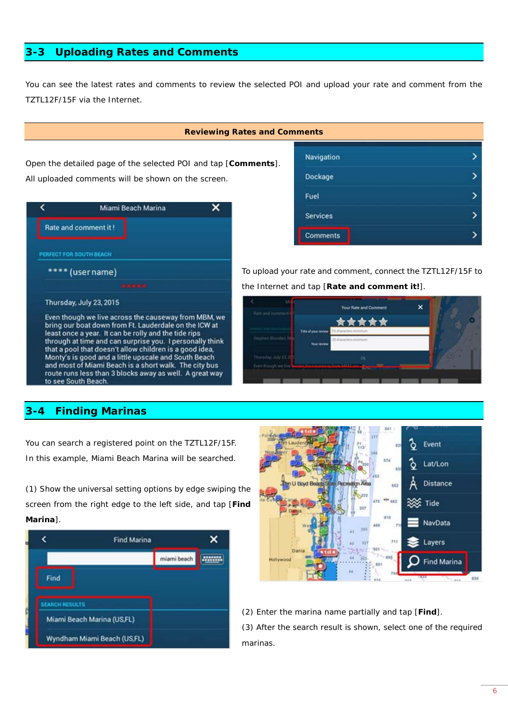## **3-3 Uploading Rates and Comments**

You can see the latest rates and comments to review the selected POI and upload your rate and comment from the TZTL12F/15F via the Internet.

#### **Reviewing Rates and Con**

Open the detailed page of the selected POI and tap [**Comments**]. All uploaded comments will be shown on the screen.

|                         | Miami Beach Marina                                                                                                                                                                                                                                                                                                                                                                                                                                                                              |  |
|-------------------------|-------------------------------------------------------------------------------------------------------------------------------------------------------------------------------------------------------------------------------------------------------------------------------------------------------------------------------------------------------------------------------------------------------------------------------------------------------------------------------------------------|--|
|                         | Rate and comment it!                                                                                                                                                                                                                                                                                                                                                                                                                                                                            |  |
| PERFECT FOR SOUTH BEACH |                                                                                                                                                                                                                                                                                                                                                                                                                                                                                                 |  |
|                         | **** (user name)                                                                                                                                                                                                                                                                                                                                                                                                                                                                                |  |
|                         | .                                                                                                                                                                                                                                                                                                                                                                                                                                                                                               |  |
|                         | Thursday, July 23, 2015                                                                                                                                                                                                                                                                                                                                                                                                                                                                         |  |
|                         | Even though we live across the causeway from MBM, we<br>bring our boat down from Ft. Lauderdale on the ICW at<br>least once a year. It can be rolly and the tide rips<br>through at time and can surprise you. I personally think<br>that a pool that doesn't allow children is a good idea,<br>Monty's is good and a little upscale and South Beach<br>and most of Miami Beach is a short walk. The city bus<br>route runs less than 3 blocks away as well. A great way<br>to see South Beach. |  |

## **3-4 Finding Marinas**

You can search a registered point on the TZTL12F/15F. In this example, Miami Beach Marina will be searched.

(1) Show the universal setting options by edge swiping the screen from the right edge to the left side, and tap [**Find Marina**].



| nments          |  |
|-----------------|--|
| Navigation      |  |
| Dockage         |  |
| Fuel            |  |
| <b>Services</b> |  |
| <b>Comments</b> |  |

To upload your rate and comment, connect the TZTL12F/15F to the Internet and tap [**Rate and comment it!**].





(2) Enter the marina name partially and tap [**Find**].

(3) After the search result is shown, select one of the required marinas.